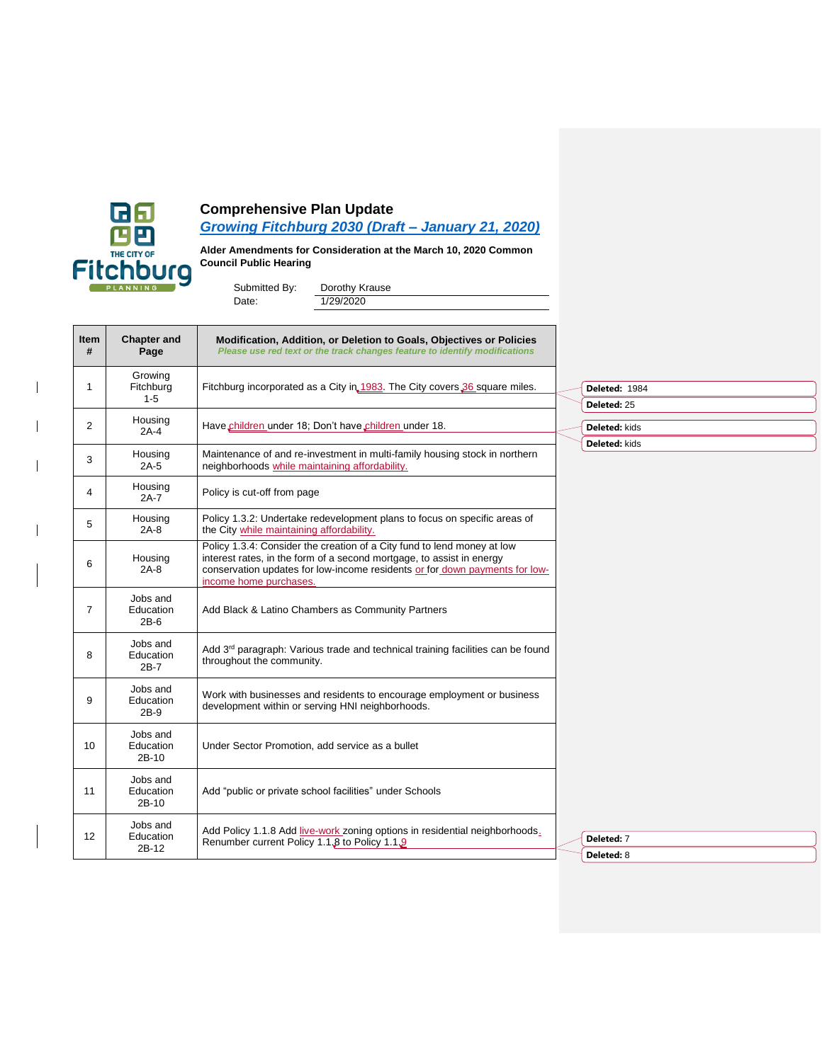

 $\overline{\phantom{a}}$ 

 $\mathsf{l}$ 

 $\overline{\phantom{a}}$ 

 $\overline{\phantom{a}}$ 

## **Comprehensive Plan Update**

*[Growing Fitchburg 2030 \(Draft –](https://www.fitchburgwi.gov/DocumentCenter/View/19939/Comp-Plan-Update-Draft-1-21-2020?bidId=) January 21, 2020)*

**Alder Amendments for Consideration at the March 10, 2020 Common Council Public Hearing**

| Submitted By: | Dorothy Krause |
|---------------|----------------|
| Date:         | 1/29/2020      |

| Item<br>#   | <b>Chapter and</b><br>Page      | Modification, Addition, or Deletion to Goals, Objectives or Policies<br>Please use red text or the track changes feature to identify modifications                                                                                                        |                              |  |  |
|-------------|---------------------------------|-----------------------------------------------------------------------------------------------------------------------------------------------------------------------------------------------------------------------------------------------------------|------------------------------|--|--|
| $\mathbf 1$ | Growing<br>Fitchburg<br>$1 - 5$ | Fitchburg incorporated as a City in 1983. The City covers 36 square miles.                                                                                                                                                                                | Deleted: 1984<br>Deleted: 25 |  |  |
| 2           | Housing<br>$2A-4$               | Have children under 18; Don't have children under 18.                                                                                                                                                                                                     | <b>Deleted: kids</b>         |  |  |
| 3           | Housing<br>$2A-5$               | Maintenance of and re-investment in multi-family housing stock in northern<br>neighborhoods while maintaining affordability.                                                                                                                              | Deleted: kids                |  |  |
| 4           | Housing<br>2A-7                 | Policy is cut-off from page                                                                                                                                                                                                                               |                              |  |  |
| 5           | Housing<br>$2A-8$               | Policy 1.3.2: Undertake redevelopment plans to focus on specific areas of<br>the City while maintaining affordability.                                                                                                                                    |                              |  |  |
| 6           | Housing<br>2A-8                 | Policy 1.3.4: Consider the creation of a City fund to lend money at low<br>interest rates, in the form of a second mortgage, to assist in energy<br>conservation updates for low-income residents or for down payments for low-<br>income home purchases. |                              |  |  |
| 7           | Jobs and<br>Education<br>$2B-6$ | Add Black & Latino Chambers as Community Partners                                                                                                                                                                                                         |                              |  |  |
| 8           | Jobs and<br>Education<br>$2B-7$ | Add 3 <sup>rd</sup> paragraph: Various trade and technical training facilities can be found<br>throughout the community.                                                                                                                                  |                              |  |  |
| 9           | Jobs and<br>Education<br>2B-9   | Work with businesses and residents to encourage employment or business<br>development within or serving HNI neighborhoods.                                                                                                                                |                              |  |  |
| 10          | Jobs and<br>Education<br>2B-10  | Under Sector Promotion, add service as a bullet                                                                                                                                                                                                           |                              |  |  |
| 11          | Jobs and<br>Education<br>2B-10  | Add "public or private school facilities" under Schools                                                                                                                                                                                                   |                              |  |  |
| 12          | Jobs and<br>Education<br>2B-12  | Add Policy 1.1.8 Add live-work zoning options in residential neighborhoods.<br>Renumber current Policy 1.1.8 to Policy 1.1.9                                                                                                                              | Deleted: 7                   |  |  |
|             |                                 |                                                                                                                                                                                                                                                           | <b>Deleted: 8</b>            |  |  |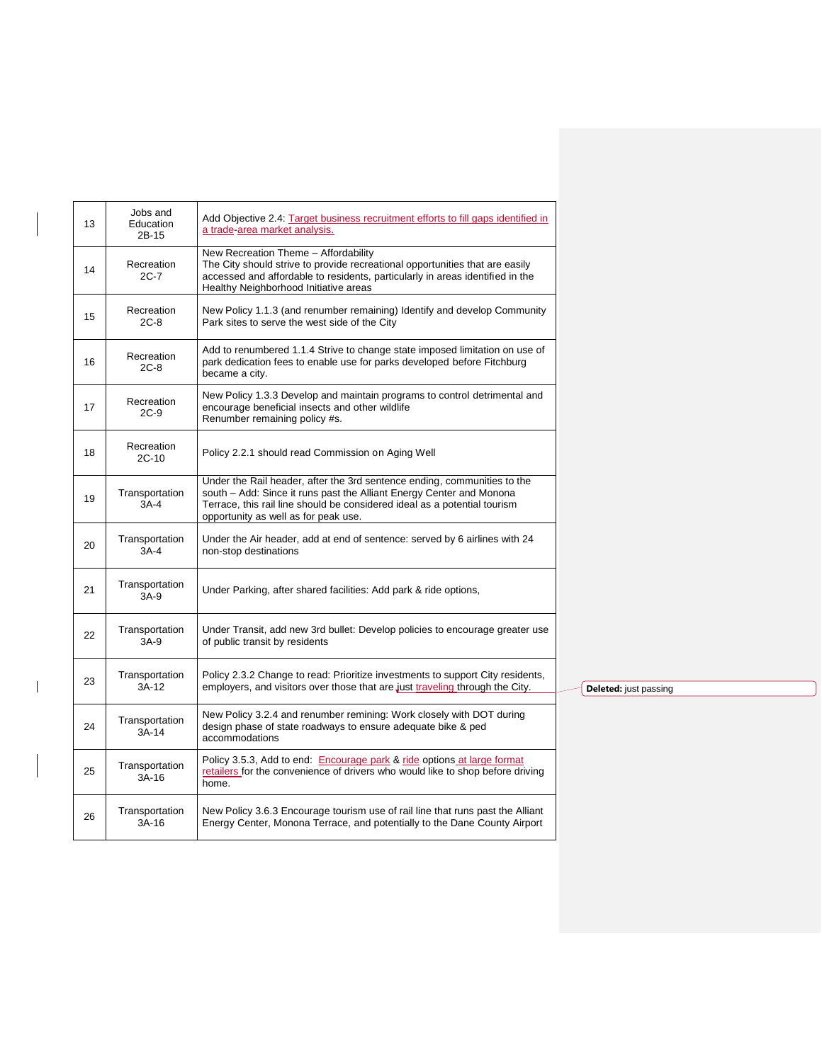| 13 | Jobs and<br>Education<br>2B-15 | Add Objective 2.4: Target business recruitment efforts to fill gaps identified in<br>a trade-area market analysis.                                                                                                                                                    |                       |
|----|--------------------------------|-----------------------------------------------------------------------------------------------------------------------------------------------------------------------------------------------------------------------------------------------------------------------|-----------------------|
| 14 | Recreation<br>$2C-7$           | New Recreation Theme - Affordability<br>The City should strive to provide recreational opportunities that are easily<br>accessed and affordable to residents, particularly in areas identified in the<br>Healthy Neighborhood Initiative areas                        |                       |
| 15 | Recreation<br>$2C-8$           | New Policy 1.1.3 (and renumber remaining) Identify and develop Community<br>Park sites to serve the west side of the City                                                                                                                                             |                       |
| 16 | Recreation<br>$2C-8$           | Add to renumbered 1.1.4 Strive to change state imposed limitation on use of<br>park dedication fees to enable use for parks developed before Fitchburg<br>became a city.                                                                                              |                       |
| 17 | Recreation<br>$2C-9$           | New Policy 1.3.3 Develop and maintain programs to control detrimental and<br>encourage beneficial insects and other wildlife<br>Renumber remaining policy #s.                                                                                                         |                       |
| 18 | Recreation<br>$2C-10$          | Policy 2.2.1 should read Commission on Aging Well                                                                                                                                                                                                                     |                       |
| 19 | Transportation<br>3A-4         | Under the Rail header, after the 3rd sentence ending, communities to the<br>south - Add: Since it runs past the Alliant Energy Center and Monona<br>Terrace, this rail line should be considered ideal as a potential tourism<br>opportunity as well as for peak use. |                       |
| 20 | Transportation<br>$3A-4$       | Under the Air header, add at end of sentence: served by 6 airlines with 24<br>non-stop destinations                                                                                                                                                                   |                       |
| 21 | Transportation<br>$3A-9$       | Under Parking, after shared facilities: Add park & ride options,                                                                                                                                                                                                      |                       |
| 22 | Transportation<br>$3A-9$       | Under Transit, add new 3rd bullet: Develop policies to encourage greater use<br>of public transit by residents                                                                                                                                                        |                       |
| 23 | Transportation<br>3A-12        | Policy 2.3.2 Change to read: Prioritize investments to support City residents,<br>employers, and visitors over those that are just traveling through the City.                                                                                                        | Deleted: just passing |
| 24 | Transportation<br>$3A-14$      | New Policy 3.2.4 and renumber remining: Work closely with DOT during<br>design phase of state roadways to ensure adequate bike & ped<br>accommodations                                                                                                                |                       |
| 25 | Transportation<br>3A-16        | Policy 3.5.3, Add to end: Encourage park & ride options at large format<br>retailers for the convenience of drivers who would like to shop before driving<br>home.                                                                                                    |                       |
| 26 | Transportation<br>3A-16        | New Policy 3.6.3 Encourage tourism use of rail line that runs past the Alliant<br>Energy Center, Monona Terrace, and potentially to the Dane County Airport                                                                                                           |                       |
|    |                                |                                                                                                                                                                                                                                                                       |                       |

 $\overline{\phantom{a}}$